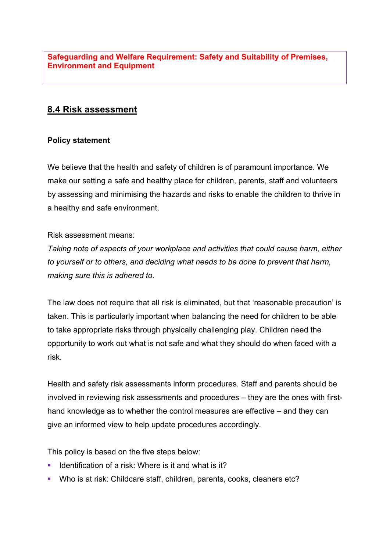**Safeguarding and Welfare Requirement: Safety and Suitability of Premises, Environment and Equipment**

# **8.4 Risk assessment**

### **Policy statement**

We believe that the health and safety of children is of paramount importance. We make our setting a safe and healthy place for children, parents, staff and volunteers by assessing and minimising the hazards and risks to enable the children to thrive in a healthy and safe environment.

#### Risk assessment means:

*Taking note of aspects of your workplace and activities that could cause harm, either to yourself or to others, and deciding what needs to be done to prevent that harm, making sure this is adhered to.*

The law does not require that all risk is eliminated, but that 'reasonable precaution' is taken. This is particularly important when balancing the need for children to be able to take appropriate risks through physically challenging play. Children need the opportunity to work out what is not safe and what they should do when faced with a risk.

Health and safety risk assessments inform procedures. Staff and parents should be involved in reviewing risk assessments and procedures – they are the ones with firsthand knowledge as to whether the control measures are effective – and they can give an informed view to help update procedures accordingly.

This policy is based on the five steps below:

- Identification of a risk: Where is it and what is it?
- § Who is at risk: Childcare staff, children, parents, cooks, cleaners etc?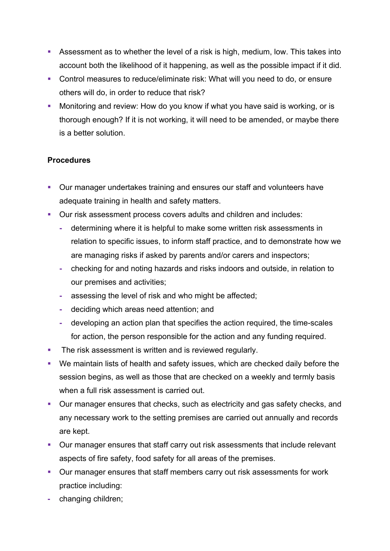- Assessment as to whether the level of a risk is high, medium, low. This takes into account both the likelihood of it happening, as well as the possible impact if it did.
- Control measures to reduce/eliminate risk: What will you need to do, or ensure others will do, in order to reduce that risk?
- Monitoring and review: How do you know if what you have said is working, or is thorough enough? If it is not working, it will need to be amended, or maybe there is a better solution.

## **Procedures**

- Our manager undertakes training and ensures our staff and volunteers have adequate training in health and safety matters.
- Our risk assessment process covers adults and children and includes:
	- **-** determining where it is helpful to make some written risk assessments in relation to specific issues, to inform staff practice, and to demonstrate how we are managing risks if asked by parents and/or carers and inspectors;
	- **-** checking for and noting hazards and risks indoors and outside, in relation to our premises and activities;
	- **-** assessing the level of risk and who might be affected;
	- **-** deciding which areas need attention; and
	- **-** developing an action plan that specifies the action required, the time-scales for action, the person responsible for the action and any funding required.
- **The risk assessment is written and is reviewed regularly.**
- We maintain lists of health and safety issues, which are checked daily before the session begins, as well as those that are checked on a weekly and termly basis when a full risk assessment is carried out.
- Our manager ensures that checks, such as electricity and gas safety checks, and any necessary work to the setting premises are carried out annually and records are kept.
- Our manager ensures that staff carry out risk assessments that include relevant aspects of fire safety, food safety for all areas of the premises.
- Our manager ensures that staff members carry out risk assessments for work practice including:
- **-** changing children;